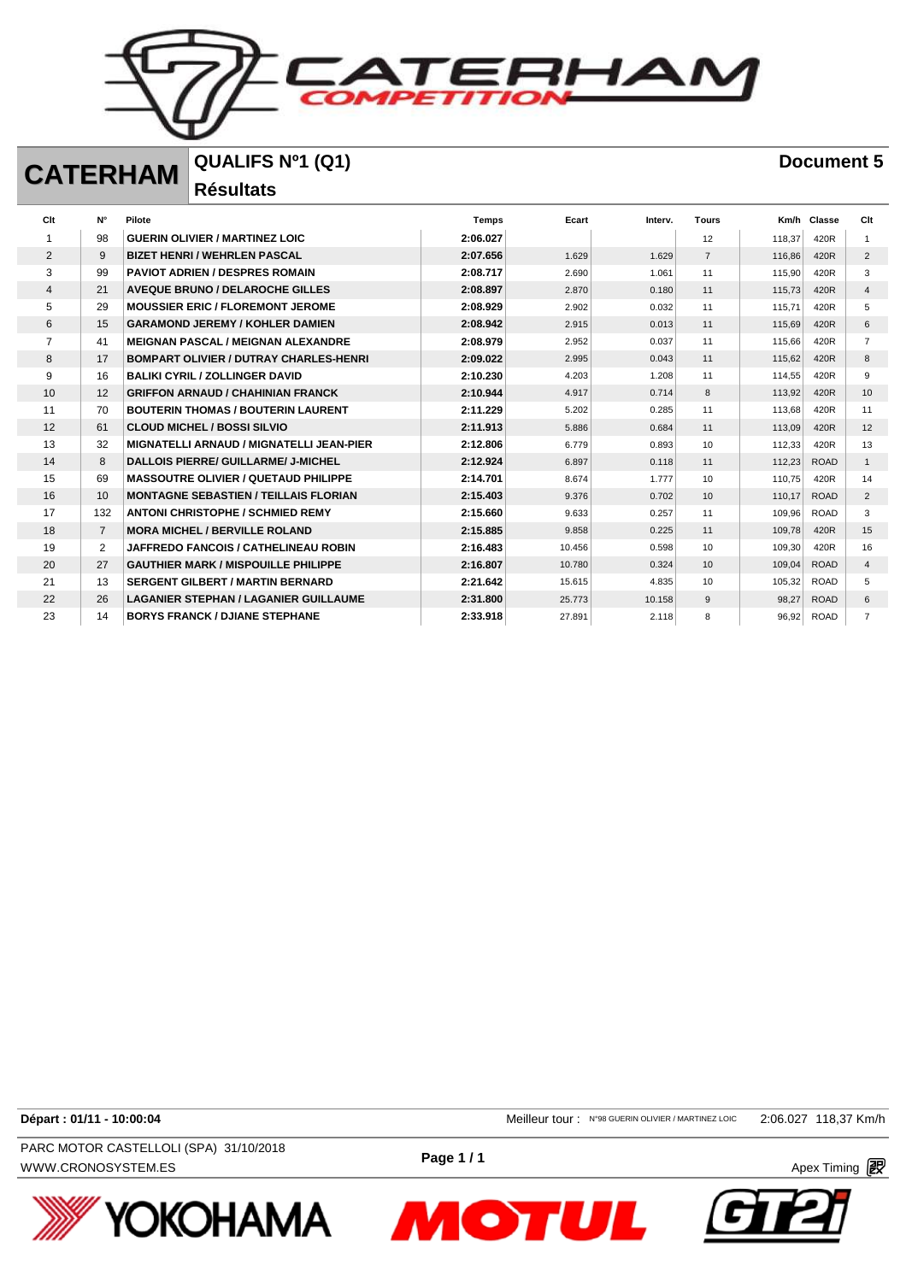

## **CATERHAM QUALIFS Nº1 (Q1) Document 5**

**Résultats** 

| Clt            | $N^{\circ}$    | Pilote                                          | <b>Temps</b> | Ecart  | Interv. | <b>Tours</b>   | Km/h   | Classe      | Clt            |
|----------------|----------------|-------------------------------------------------|--------------|--------|---------|----------------|--------|-------------|----------------|
|                | 98             | <b>GUERIN OLIVIER / MARTINEZ LOIC</b>           | 2:06.027     |        |         | 12             | 118.37 | 420R        |                |
| $\overline{2}$ | 9              | <b>BIZET HENRI / WEHRLEN PASCAL</b>             | 2:07.656     | 1.629  | 1.629   | $\overline{7}$ | 116,86 | 420R        | $\overline{2}$ |
| 3              | 99             | <b>PAVIOT ADRIEN / DESPRES ROMAIN</b>           | 2:08.717     | 2.690  | 1.061   | 11             | 115,90 | 420R        | 3              |
| 4              | 21             | <b>AVEQUE BRUNO / DELAROCHE GILLES</b>          | 2:08.897     | 2.870  | 0.180   | 11             | 115,73 | 420R        | $\overline{4}$ |
| 5              | 29             | <b>MOUSSIER ERIC / FLOREMONT JEROME</b>         | 2:08.929     | 2.902  | 0.032   | 11             | 115,71 | 420R        | 5              |
| 6              | 15             | <b>GARAMOND JEREMY / KOHLER DAMIEN</b>          | 2:08.942     | 2.915  | 0.013   | 11             | 115,69 | 420R        | 6              |
|                | 41             | <b>MEIGNAN PASCAL / MEIGNAN ALEXANDRE</b>       | 2:08.979     | 2.952  | 0.037   | 11             | 115,66 | 420R        | $\overline{7}$ |
| 8              | 17             | <b>BOMPART OLIVIER / DUTRAY CHARLES-HENRI</b>   | 2:09.022     | 2.995  | 0.043   | 11             | 115,62 | 420R        | 8              |
| 9              | 16             | <b>BALIKI CYRIL / ZOLLINGER DAVID</b>           | 2:10.230     | 4.203  | 1.208   | 11             | 114.55 | 420R        | 9              |
| 10             | 12             | <b>GRIFFON ARNAUD / CHAHINIAN FRANCK</b>        | 2:10.944     | 4.917  | 0.714   | 8              | 113,92 | 420R        | 10             |
| 11             | 70             | <b>BOUTERIN THOMAS / BOUTERIN LAURENT</b>       | 2:11.229     | 5.202  | 0.285   | 11             | 113,68 | 420R        | 11             |
| 12             | 61             | <b>CLOUD MICHEL / BOSSI SILVIO</b>              | 2:11.913     | 5.886  | 0.684   | 11             | 113,09 | 420R        | 12             |
| 13             | 32             | <b>MIGNATELLI ARNAUD / MIGNATELLI JEAN-PIER</b> | 2:12.806     | 6.779  | 0.893   | 10             | 112,33 | 420R        | 13             |
| 14             | 8              | DALLOIS PIERRE/ GUILLARME/ J-MICHEL             | 2:12.924     | 6.897  | 0.118   | 11             | 112,23 | <b>ROAD</b> | $\mathbf{1}$   |
| 15             | 69             | <b>MASSOUTRE OLIVIER / QUETAUD PHILIPPE</b>     | 2:14.701     | 8.674  | 1.777   | 10             | 110,75 | 420R        | 14             |
| 16             | 10             | <b>MONTAGNE SEBASTIEN / TEILLAIS FLORIAN</b>    | 2:15.403     | 9.376  | 0.702   | 10             | 110,17 | <b>ROAD</b> | 2              |
| 17             | 132            | <b>ANTONI CHRISTOPHE / SCHMIED REMY</b>         | 2:15.660     | 9.633  | 0.257   | 11             | 109,96 | <b>ROAD</b> | 3              |
| 18             | $\overline{7}$ | <b>MORA MICHEL / BERVILLE ROLAND</b>            | 2:15.885     | 9.858  | 0.225   | 11             | 109,78 | 420R        | 15             |
| 19             | $\overline{2}$ | <b>JAFFREDO FANCOIS / CATHELINEAU ROBIN</b>     | 2:16.483     | 10.456 | 0.598   | 10             | 109,30 | 420R        | 16             |
| 20             | 27             | <b>GAUTHIER MARK / MISPOUILLE PHILIPPE</b>      | 2:16.807     | 10.780 | 0.324   | 10             | 109,04 | <b>ROAD</b> | $\overline{4}$ |
| 21             | 13             | <b>SERGENT GILBERT / MARTIN BERNARD</b>         | 2:21.642     | 15.615 | 4.835   | 10             | 105,32 | <b>ROAD</b> | 5              |
| 22             | 26             | <b>LAGANIER STEPHAN / LAGANIER GUILLAUME</b>    | 2:31.800     | 25.773 | 10.158  | 9              | 98,27  | <b>ROAD</b> | 6              |
| 23             | 14             | <b>BORYS FRANCK / DJIANE STEPHANE</b>           | 2:33.918     | 27.891 | 2.118   | 8              | 96.92  | <b>ROAD</b> | $\overline{7}$ |

WWW.CRONOSYSTEM.ES **Page 17 T Page 17 T Page 17 T Apex Timing** *图* PARC MOTOR CASTELLOLI (SPA) 31/10/2018



**Départ : 01/11 - 10:00:04** Meilleur tour : N°98 GUERIN OLIVIER / MARTINEZ LOIC 2:06.027 118,37 Km/h



**Page 1 / 1**

**MOTUL**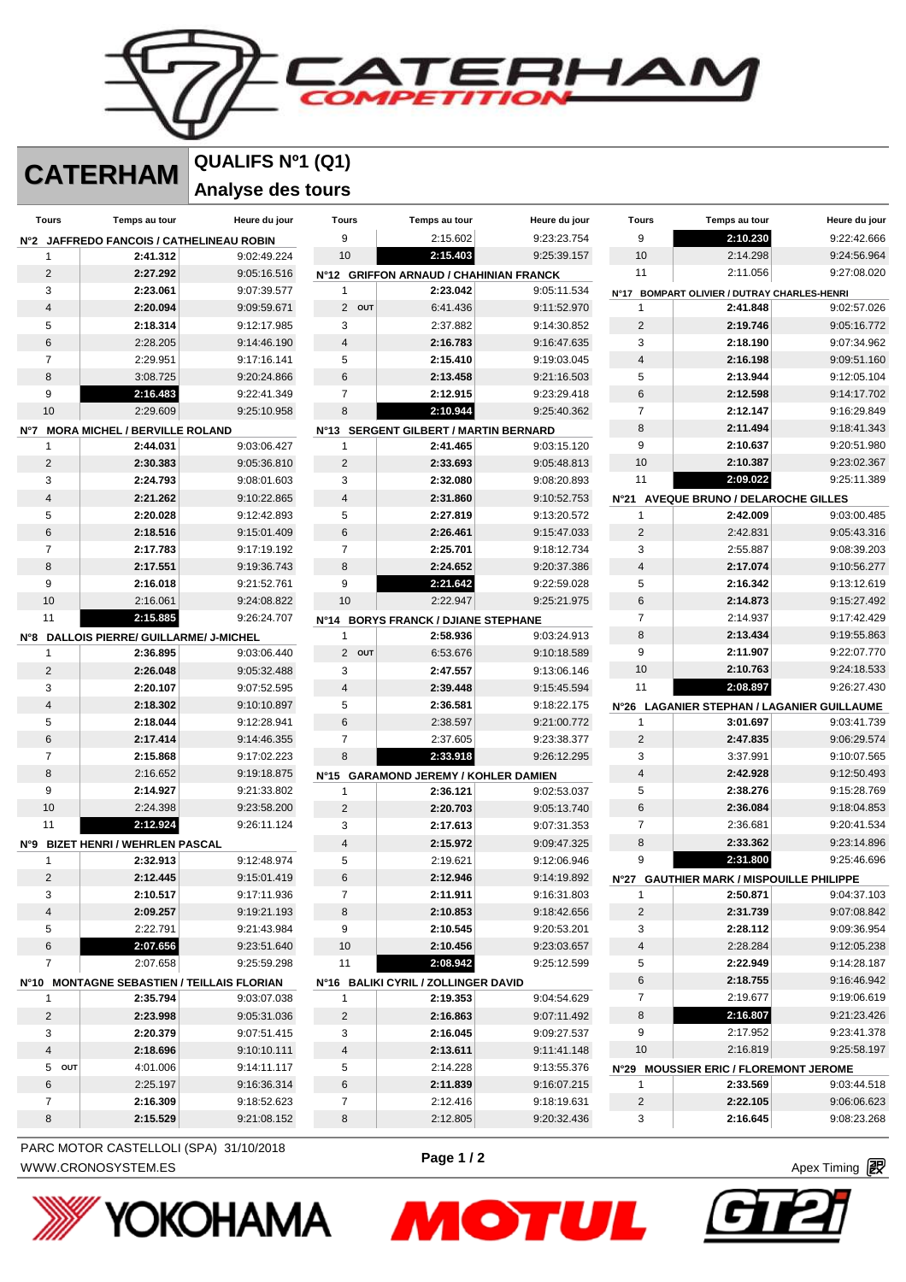フロムパ

**CATERHAM QUALIFS Nº1 (Q1)**

**Analyse des tours** 

| Tours                             | Temps au tour                                | Heure du jour                              | <b>Tours</b>   | Temps au tour                                    | Heure du jour | Tours                   | Temps au tour                               | Heure du jour                              |
|-----------------------------------|----------------------------------------------|--------------------------------------------|----------------|--------------------------------------------------|---------------|-------------------------|---------------------------------------------|--------------------------------------------|
|                                   | Nº2 JAFFREDO FANCOIS / CATHELINEAU ROBIN     |                                            | 9              | 2:15.602                                         | 9:23:23.754   | 9                       | 2:10.230                                    | 9:22:42.666                                |
| 1                                 | 2:41.312                                     | 9:02:49.224                                | 10             | 2:15.403                                         | 9:25:39.157   | 10                      | 2:14.298                                    | 9:24:56.964                                |
| 2                                 | 2:27.292                                     | 9:05:16.516                                |                | N°12 GRIFFON ARNAUD / CHAHINIAN FRANCK           |               | 11                      | 2:11.056                                    | 9:27:08.020                                |
| 3                                 | 2:23.061                                     | 9:07:39.577                                | 1              | 2:23.042                                         | 9:05:11.534   |                         | N°17 BOMPART OLIVIER / DUTRAY CHARLES-HENRI |                                            |
| $\overline{4}$                    | 2:20.094                                     | 9:09:59.671                                | 2 OUT          | 6:41.436                                         | 9:11:52.970   | 1                       | 2:41.848                                    | 9:02:57.026                                |
| 5                                 | 2:18.314                                     | 9:12:17.985                                | 3              | 2:37.882                                         | 9:14:30.852   | $\overline{2}$          | 2:19.746                                    | 9:05:16.772                                |
| 6                                 | 2:28.205                                     | 9:14:46.190                                | 4              | 2:16.783                                         | 9:16:47.635   | 3                       | 2:18.190                                    | 9:07:34.962                                |
| $\overline{7}$                    | 2:29.951                                     | 9:17:16.141                                | 5              | 2:15.410                                         | 9:19:03.045   | $\overline{\mathbf{4}}$ | 2:16.198                                    | 9:09:51.160                                |
| 8                                 | 3:08.725                                     | 9:20:24.866                                | $\,6$          | 2:13.458                                         | 9:21:16.503   | 5                       | 2:13.944                                    | 9:12:05.104                                |
| 9                                 | 2:16.483                                     | 9:22:41.349                                | $\overline{7}$ | 2:12.915                                         | 9:23:29.418   | 6                       | 2:12.598                                    | 9:14:17.702                                |
| 10                                | 2:29.609                                     | 9:25:10.958                                | 8              | 2:10.944                                         | 9:25:40.362   | $\overline{7}$          | 2:12.147                                    | 9:16:29.849                                |
| N°7 MORA MICHEL / BERVILLE ROLAND |                                              |                                            |                | N°13 SERGENT GILBERT / MARTIN BERNARD            |               | 8                       | 2:11.494                                    | 9:18:41.343                                |
| 1                                 | 2:44.031                                     | 9:03:06.427                                | 1              | 2:41.465                                         | 9:03:15.120   | 9                       | 2:10.637                                    | 9:20:51.980                                |
| $\overline{2}$                    | 2:30.383                                     | 9:05:36.810                                | $\overline{2}$ | 2:33.693                                         | 9:05:48.813   | 10                      | 2:10.387                                    | 9:23:02.367                                |
| 3                                 | 2:24.793                                     | 9:08:01.603                                | 3              | 2:32.080                                         | 9:08:20.893   | 11                      | 2:09.022                                    | 9:25:11.389                                |
| 4                                 | 2:21.262                                     | 9:10:22.865                                | $\overline{4}$ | 2:31.860                                         | 9:10:52.753   |                         | N°21 AVEQUE BRUNO / DELAROCHE GILLES        |                                            |
| 5                                 | 2:20.028                                     | 9:12:42.893                                | 5              | 2:27.819                                         | 9:13:20.572   | 1                       | 2:42.009                                    | 9:03:00.485                                |
| 6                                 | 2:18.516                                     | 9:15:01.409                                | $\,6$          | 2:26.461                                         | 9:15:47.033   | $\sqrt{2}$              | 2:42.831                                    | 9:05:43.316                                |
| $\overline{7}$                    | 2:17.783                                     | 9:17:19.192                                | $\overline{7}$ | 2:25.701                                         | 9:18:12.734   | 3                       | 2:55.887                                    | 9:08:39.203                                |
| 8                                 | 2:17.551                                     | 9:19:36.743                                | 8              | 2:24.652                                         | 9:20:37.386   | $\overline{4}$          | 2:17.074                                    | 9:10:56.277                                |
| 9                                 | 2:16.018                                     | 9:21:52.761                                | 9              | 2:21.642                                         | 9:22:59.028   | 5                       | 2:16.342                                    | 9:13:12.619                                |
| 10                                | 2:16.061                                     | 9:24:08.822                                | 10             | 2:22.947                                         | 9:25:21.975   | 6                       | 2:14.873                                    | 9:15:27.492                                |
| 11                                | 2:15.885                                     | 9:26:24.707                                |                | N°14 BORYS FRANCK / DJIANE STEPHANE              |               | $\overline{7}$          | 2:14.937                                    | 9:17:42.429                                |
|                                   | N°8 DALLOIS PIERRE/ GUILLARME/ J-MICHEL      |                                            | 1              | 2:58.936                                         | 9:03:24.913   | 8                       | 2:13.434                                    | 9:19:55.863                                |
| $\mathbf{1}$                      | 2:36.895                                     | 9:03:06.440                                | 2 OUT          | 6:53.676                                         | 9:10:18.589   | 9                       | 2:11.907                                    | 9:22:07.770                                |
| 2                                 | 2:26.048                                     | 9:05:32.488                                | 3              | 2:47.557                                         | 9:13:06.146   | 10                      | 2:10.763                                    | 9:24:18.533                                |
| 3                                 | 2:20.107                                     | 9:07:52.595                                | $\overline{4}$ | 2:39.448                                         | 9:15:45.594   | 11                      | 2:08.897                                    | 9:26:27.430                                |
| $\overline{\mathbf{4}}$           | 2:18.302                                     | 9:10:10.897                                | 5              | 2:36.581                                         | 9:18:22.175   |                         |                                             | N°26 LAGANIER STEPHAN / LAGANIER GUILLAUME |
| 5                                 | 2:18.044                                     | 9:12:28.941                                | $\,6$          | 2:38.597                                         | 9:21:00.772   | 1                       | 3:01.697                                    | 9:03:41.739                                |
| 6                                 | 2:17.414                                     | 9:14:46.355                                | $\overline{7}$ | 2:37.605                                         | 9:23:38.377   | $\overline{2}$          | 2:47.835                                    | 9:06:29.574                                |
| $\overline{7}$                    | 2:15.868                                     | 9:17:02.223                                | 8              | 2:33.918                                         | 9:26:12.295   | 3                       | 3:37.991                                    | 9:10:07.565                                |
| 8                                 | 2:16.652                                     | 9:19:18.875                                |                |                                                  |               | $\overline{\mathbf{4}}$ | 2:42.928                                    | 9:12:50.493                                |
| 9                                 | 2:14.927                                     | 9:21:33.802                                | 1              | N°15 GARAMOND JEREMY / KOHLER DAMIEN<br>2:36.121 | 9:02:53.037   | 5                       | 2:38.276                                    | 9:15:28.769                                |
| 10                                | 2:24.398                                     | 9:23:58.200                                | $\overline{2}$ | 2:20.703                                         | 9:05:13.740   | 6                       | 2:36.084                                    | 9:18:04.853                                |
| 11                                | 2:12.924                                     | 9:26:11.124                                | 3              | 2:17.613                                         | 9:07:31.353   | $\overline{7}$          | 2:36.681                                    | 9:20:41.534                                |
|                                   |                                              |                                            | $\sqrt{4}$     | 2:15.972                                         | 9:09:47.325   | 8                       | 2:33.362                                    | 9:23:14.896                                |
| 1                                 | N°9 BIZET HENRI / WEHRLEN PASCAL<br>2:32.913 | 9:12:48.974                                | 5              | 2:19.621                                         | 9:12:06.946   | 9                       | 2:31.800                                    | 9:25:46.696                                |
| $\overline{2}$                    | 2:12.445                                     |                                            | $\,6$          | 2:12.946                                         | 9:14:19.892   |                         |                                             |                                            |
| 3                                 | 2:10.517                                     | 9:15:01.419                                | $\overline{7}$ | 2:11.911                                         |               | 1                       | N°27 GAUTHIER MARK / MISPOUILLE PHILIPPE    | 9:04:37.103                                |
|                                   |                                              | 9:17:11.936                                |                |                                                  | 9:16:31.803   |                         | 2:50.871                                    |                                            |
| 4                                 | 2:09.257                                     | 9:19:21.193                                | 8              | 2:10.853                                         | 9:18:42.656   | $\overline{c}$          | 2:31.739                                    | 9:07:08.842                                |
| 5                                 | 2:22.791                                     | 9:21:43.984                                | 9              | 2:10.545                                         | 9:20:53.201   | 3                       | 2:28.112                                    | 9:09:36.954                                |
| 6                                 | 2:07.656                                     | 9:23:51.640                                | 10             | 2:10.456                                         | 9:23:03.657   | 4                       | 2:28.284                                    | 9:12:05.238                                |
| 7                                 | 2:07.658                                     | 9:25:59.298                                | 11             | 2:08.942                                         | 9:25:12.599   | 5                       | 2:22.949                                    | 9:14:28.187                                |
|                                   |                                              | N°10 MONTAGNE SEBASTIEN / TEILLAIS FLORIAN |                | N°16 BALIKI CYRIL / ZOLLINGER DAVID              |               | 6                       | 2:18.755                                    | 9:16:46.942                                |
| $\mathbf{1}$                      | 2:35.794                                     | 9:03:07.038                                | 1              | 2:19.353                                         | 9:04:54.629   | $\overline{7}$          | 2:19.677                                    | 9:19:06.619                                |
| $\overline{\mathbf{c}}$           | 2:23.998                                     | 9:05:31.036                                | $\overline{c}$ | 2:16.863                                         | 9:07:11.492   | 8                       | 2:16.807                                    | 9:21:23.426                                |
| 3                                 | 2:20.379                                     | 9:07:51.415                                | 3              | 2:16.045                                         | 9:09:27.537   | 9                       | 2:17.952                                    | 9:23:41.378                                |
| 4                                 | 2:18.696                                     | 9:10:10.111                                | 4              | 2:13.611                                         | 9:11:41.148   | 10                      | 2:16.819                                    | 9:25:58.197                                |
| 5 OUT                             | 4:01.006                                     | 9:14:11.117                                | 5              | 2:14.228                                         | 9:13:55.376   |                         | N°29 MOUSSIER ERIC / FLOREMONT JEROME       |                                            |
| 6                                 | 2:25.197                                     | 9:16:36.314                                | 6              | 2:11.839                                         | 9:16:07.215   | 1                       | 2:33.569                                    | 9:03:44.518                                |
| $\overline{7}$                    | 2:16.309                                     | 9:18:52.623                                | $\overline{7}$ | 2:12.416                                         | 9:18:19.631   | $\overline{c}$          | 2:22.105                                    | 9:06:06.623                                |
| 8                                 | 2:15.529                                     | 9:21:08.152                                | $\bf8$         | 2:12.805                                         | 9:20:32.436   | 3                       | 2:16.645                                    | 9:08:23.268                                |

WWW.CRONOSYSTEM.ES **Page 172 Page 172 Apex Timing** *图* PARC MOTOR CASTELLOLI (SPA) 31/10/2018



**Page 1 / 2**

**MOTUL**